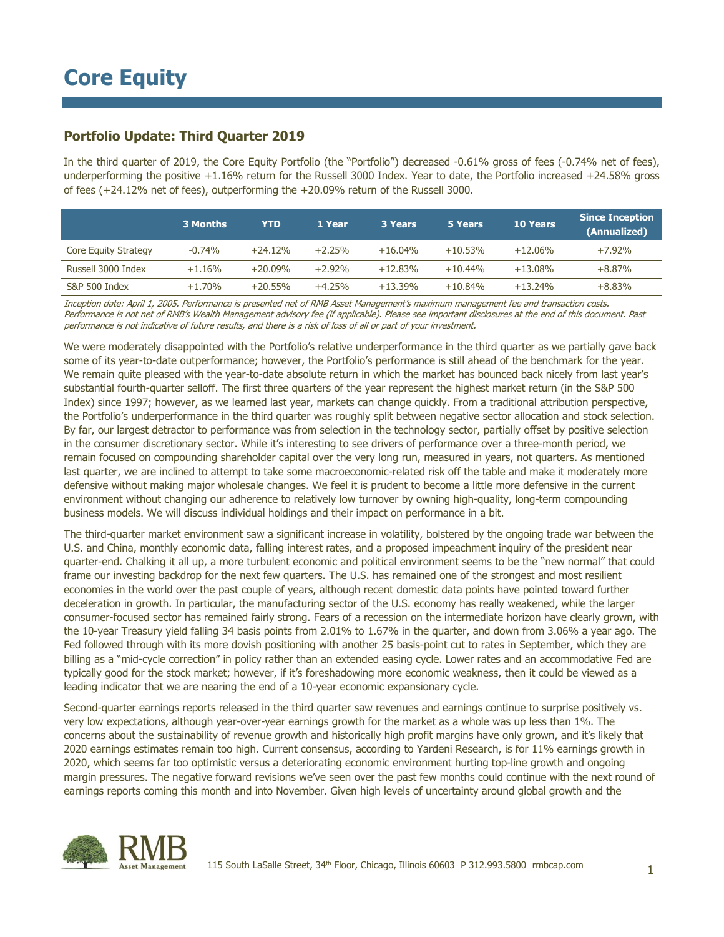## **Portfolio Update: Third Quarter 2019**

In the third quarter of 2019, the Core Equity Portfolio (the "Portfolio") decreased -0.61% gross of fees (-0.74% net of fees), underperforming the positive +1.16% return for the Russell 3000 Index. Year to date, the Portfolio increased +24.58% gross of fees (+24.12% net of fees), outperforming the +20.09% return of the Russell 3000.

|                      | 3 Months | YTD        | 1 Year   | <b>3 Years</b> | 5 Years   | <b>10 Years</b> | <b>Since Inception</b><br>(Annualized) |
|----------------------|----------|------------|----------|----------------|-----------|-----------------|----------------------------------------|
| Core Equity Strategy | $-0.74%$ | $+24.12%$  | $+2.25%$ | $+16.04%$      | $+10.53%$ | $+12.06%$       | $+7.92\%$                              |
| Russell 3000 Index   | $+1.16%$ | $+20.09\%$ | $+2.92%$ | $+12.83%$      | $+10.44%$ | $+13.08\%$      | $+8.87%$                               |
| S&P 500 Index        | $+1.70%$ | $+20.55%$  | $+4.25%$ | $+13.39%$      | $+10.84%$ | $+13.24%$       | $+8.83%$                               |

Inception date: April 1, 2005. Performance is presented net of RMB Asset Management's maximum management fee and transaction costs. Performance is not net of RMB's Wealth Management advisory fee (if applicable). Please see important disclosures at the end of this document. Past performance is not indicative of future results, and there is a risk of loss of all or part of your investment.

We were moderately disappointed with the Portfolio's relative underperformance in the third quarter as we partially gave back some of its year-to-date outperformance; however, the Portfolio's performance is still ahead of the benchmark for the year. We remain quite pleased with the year-to-date absolute return in which the market has bounced back nicely from last year's substantial fourth-quarter selloff. The first three quarters of the year represent the highest market return (in the S&P 500 Index) since 1997; however, as we learned last year, markets can change quickly. From a traditional attribution perspective, the Portfolio's underperformance in the third quarter was roughly split between negative sector allocation and stock selection. By far, our largest detractor to performance was from selection in the technology sector, partially offset by positive selection in the consumer discretionary sector. While it's interesting to see drivers of performance over a three-month period, we remain focused on compounding shareholder capital over the very long run, measured in years, not quarters. As mentioned last quarter, we are inclined to attempt to take some macroeconomic-related risk off the table and make it moderately more defensive without making major wholesale changes. We feel it is prudent to become a little more defensive in the current environment without changing our adherence to relatively low turnover by owning high-quality, long-term compounding business models. We will discuss individual holdings and their impact on performance in a bit.

The third-quarter market environment saw a significant increase in volatility, bolstered by the ongoing trade war between the U.S. and China, monthly economic data, falling interest rates, and a proposed impeachment inquiry of the president near quarter-end. Chalking it all up, a more turbulent economic and political environment seems to be the "new normal" that could frame our investing backdrop for the next few quarters. The U.S. has remained one of the strongest and most resilient economies in the world over the past couple of years, although recent domestic data points have pointed toward further deceleration in growth. In particular, the manufacturing sector of the U.S. economy has really weakened, while the larger consumer-focused sector has remained fairly strong. Fears of a recession on the intermediate horizon have clearly grown, with the 10-year Treasury yield falling 34 basis points from 2.01% to 1.67% in the quarter, and down from 3.06% a year ago. The Fed followed through with its more dovish positioning with another 25 basis-point cut to rates in September, which they are billing as a "mid-cycle correction" in policy rather than an extended easing cycle. Lower rates and an accommodative Fed are typically good for the stock market; however, if it's foreshadowing more economic weakness, then it could be viewed as a leading indicator that we are nearing the end of a 10-year economic expansionary cycle.

Second-quarter earnings reports released in the third quarter saw revenues and earnings continue to surprise positively vs. very low expectations, although year-over-year earnings growth for the market as a whole was up less than 1%. The concerns about the sustainability of revenue growth and historically high profit margins have only grown, and it's likely that 2020 earnings estimates remain too high. Current consensus, according to Yardeni Research, is for 11% earnings growth in 2020, which seems far too optimistic versus a deteriorating economic environment hurting top-line growth and ongoing margin pressures. The negative forward revisions we've seen over the past few months could continue with the next round of earnings reports coming this month and into November. Given high levels of uncertainty around global growth and the

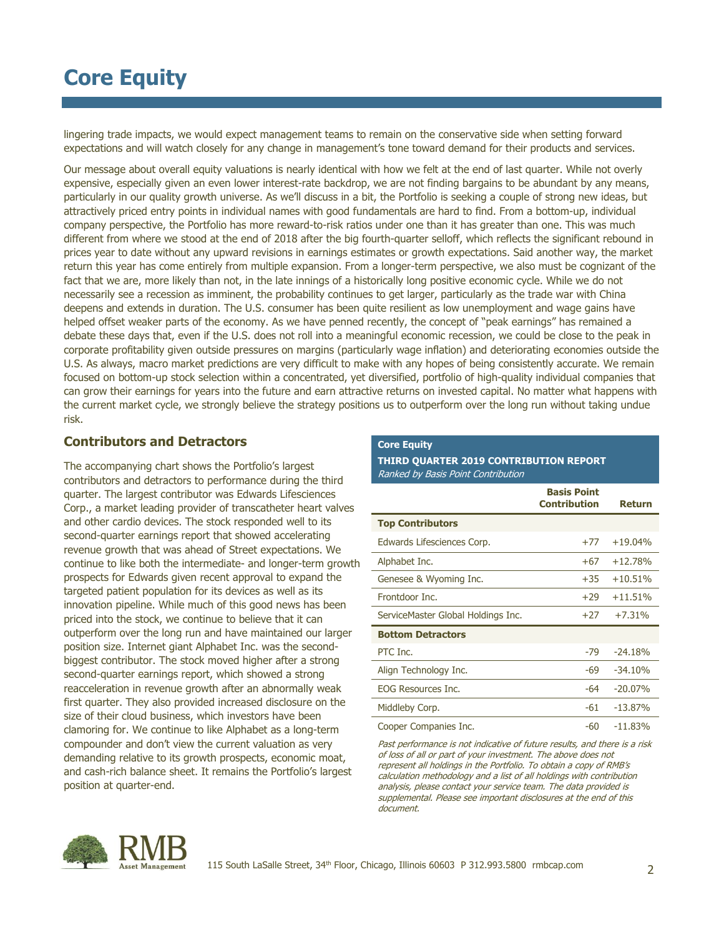# **Core Equity**

lingering trade impacts, we would expect management teams to remain on the conservative side when setting forward expectations and will watch closely for any change in management's tone toward demand for their products and services.

Our message about overall equity valuations is nearly identical with how we felt at the end of last quarter. While not overly expensive, especially given an even lower interest-rate backdrop, we are not finding bargains to be abundant by any means, particularly in our quality growth universe. As we'll discuss in a bit, the Portfolio is seeking a couple of strong new ideas, but attractively priced entry points in individual names with good fundamentals are hard to find. From a bottom-up, individual company perspective, the Portfolio has more reward-to-risk ratios under one than it has greater than one. This was much different from where we stood at the end of 2018 after the big fourth-quarter selloff, which reflects the significant rebound in prices year to date without any upward revisions in earnings estimates or growth expectations. Said another way, the market return this year has come entirely from multiple expansion. From a longer-term perspective, we also must be cognizant of the fact that we are, more likely than not, in the late innings of a historically long positive economic cycle. While we do not necessarily see a recession as imminent, the probability continues to get larger, particularly as the trade war with China deepens and extends in duration. The U.S. consumer has been quite resilient as low unemployment and wage gains have helped offset weaker parts of the economy. As we have penned recently, the concept of "peak earnings" has remained a debate these days that, even if the U.S. does not roll into a meaningful economic recession, we could be close to the peak in corporate profitability given outside pressures on margins (particularly wage inflation) and deteriorating economies outside the U.S. As always, macro market predictions are very difficult to make with any hopes of being consistently accurate. We remain focused on bottom-up stock selection within a concentrated, yet diversified, portfolio of high-quality individual companies that can grow their earnings for years into the future and earn attractive returns on invested capital. No matter what happens with the current market cycle, we strongly believe the strategy positions us to outperform over the long run without taking undue risk.

### **Contributors and Detractors**

The accompanying chart shows the Portfolio's largest contributors and detractors to performance during the third quarter. The largest contributor was Edwards Lifesciences Corp., a market leading provider of transcatheter heart valves and other cardio devices. The stock responded well to its second-quarter earnings report that showed accelerating revenue growth that was ahead of Street expectations. We continue to like both the intermediate- and longer-term growth prospects for Edwards given recent approval to expand the targeted patient population for its devices as well as its innovation pipeline. While much of this good news has been priced into the stock, we continue to believe that it can outperform over the long run and have maintained our larger position size. Internet giant Alphabet Inc. was the secondbiggest contributor. The stock moved higher after a strong second-quarter earnings report, which showed a strong reacceleration in revenue growth after an abnormally weak first quarter. They also provided increased disclosure on the size of their cloud business, which investors have been clamoring for. We continue to like Alphabet as a long-term compounder and don't view the current valuation as very demanding relative to its growth prospects, economic moat, and cash-rich balance sheet. It remains the Portfolio's largest position at quarter-end.

#### **Core Equity**

#### **THIRD QUARTER 2019 CONTRIBUTION REPORT** Ranked by Basis Point Contribution

|                                    | <b>Basis Point</b><br><b>Contribution</b> | <b>Return</b> |
|------------------------------------|-------------------------------------------|---------------|
| <b>Top Contributors</b>            |                                           |               |
| Edwards Lifesciences Corp.         | $+77$                                     | $+19.04%$     |
| Alphabet Inc.                      | $+67$                                     | $+12.78%$     |
| Genesee & Wyoming Inc.             | $+35$                                     | $+10.51%$     |
| Frontdoor Inc.                     | $+29$                                     | $+11.51%$     |
| ServiceMaster Global Holdings Inc. | $+27$                                     | $+7.31%$      |
| <b>Bottom Detractors</b>           |                                           |               |
| PTC Inc.                           | $-79$                                     | $-24.18%$     |
| Align Technology Inc.              | -69                                       | $-34.10%$     |
| <b>EOG Resources Inc.</b>          | $-64$                                     | $-20.07%$     |
| Middleby Corp.                     | $-61$                                     | $-13.87%$     |
| Cooper Companies Inc.              | -60                                       | $-11.83%$     |

Past performance is not indicative of future results, and there is a risk of loss of all or part of your investment. The above does not represent all holdings in the Portfolio. To obtain a copy of RMB's calculation methodology and a list of all holdings with contribution analysis, please contact your service team. The data provided is supplemental. Please see important disclosures at the end of this document.

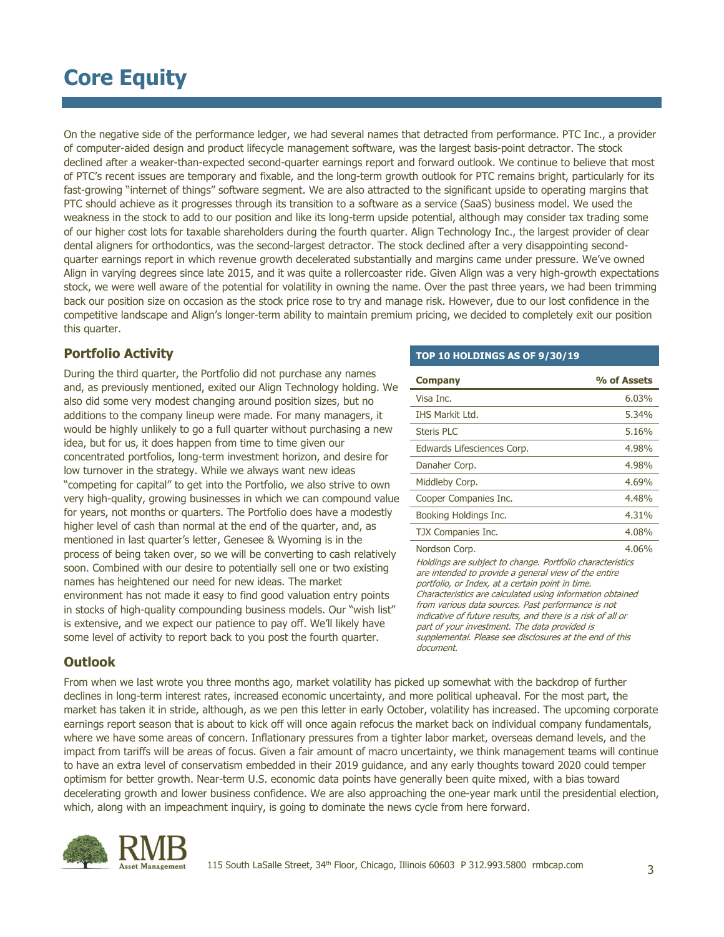# **Core Equity**

On the negative side of the performance ledger, we had several names that detracted from performance. PTC Inc., a provider of computer-aided design and product lifecycle management software, was the largest basis-point detractor. The stock declined after a weaker-than-expected second-quarter earnings report and forward outlook. We continue to believe that most of PTC's recent issues are temporary and fixable, and the long-term growth outlook for PTC remains bright, particularly for its fast-growing "internet of things" software segment. We are also attracted to the significant upside to operating margins that PTC should achieve as it progresses through its transition to a software as a service (SaaS) business model. We used the weakness in the stock to add to our position and like its long-term upside potential, although may consider tax trading some of our higher cost lots for taxable shareholders during the fourth quarter. Align Technology Inc., the largest provider of clear dental aligners for orthodontics, was the second-largest detractor. The stock declined after a very disappointing secondquarter earnings report in which revenue growth decelerated substantially and margins came under pressure. We've owned Align in varying degrees since late 2015, and it was quite a rollercoaster ride. Given Align was a very high-growth expectations stock, we were well aware of the potential for volatility in owning the name. Over the past three years, we had been trimming back our position size on occasion as the stock price rose to try and manage risk. However, due to our lost confidence in the competitive landscape and Align's longer-term ability to maintain premium pricing, we decided to completely exit our position this quarter.

## **Portfolio Activity**

During the third quarter, the Portfolio did not purchase any names and, as previously mentioned, exited our Align Technology holding. We also did some very modest changing around position sizes, but no additions to the company lineup were made. For many managers, it would be highly unlikely to go a full quarter without purchasing a new idea, but for us, it does happen from time to time given our concentrated portfolios, long-term investment horizon, and desire for low turnover in the strategy. While we always want new ideas "competing for capital" to get into the Portfolio, we also strive to own very high-quality, growing businesses in which we can compound value for years, not months or quarters. The Portfolio does have a modestly higher level of cash than normal at the end of the quarter, and, as mentioned in last quarter's letter, Genesee & Wyoming is in the process of being taken over, so we will be converting to cash relatively soon. Combined with our desire to potentially sell one or two existing names has heightened our need for new ideas. The market environment has not made it easy to find good valuation entry points in stocks of high-quality compounding business models. Our "wish list" is extensive, and we expect our patience to pay off. We'll likely have some level of activity to report back to you post the fourth quarter.

### **TOP 10 HOLDINGS AS OF 9/30/19**

| <b>Company</b>                                                                                                                                                                                                                                                                                                                                                                                                                                                                                             | % of Assets |  |  |  |  |
|------------------------------------------------------------------------------------------------------------------------------------------------------------------------------------------------------------------------------------------------------------------------------------------------------------------------------------------------------------------------------------------------------------------------------------------------------------------------------------------------------------|-------------|--|--|--|--|
| Visa Inc.                                                                                                                                                                                                                                                                                                                                                                                                                                                                                                  | 6.03%       |  |  |  |  |
| <b>IHS Markit Ltd.</b>                                                                                                                                                                                                                                                                                                                                                                                                                                                                                     | 5.34%       |  |  |  |  |
| Steris PLC                                                                                                                                                                                                                                                                                                                                                                                                                                                                                                 | 5.16%       |  |  |  |  |
| Edwards Lifesciences Corp.                                                                                                                                                                                                                                                                                                                                                                                                                                                                                 | 4.98%       |  |  |  |  |
| Danaher Corp.                                                                                                                                                                                                                                                                                                                                                                                                                                                                                              | 4.98%       |  |  |  |  |
| Middleby Corp.                                                                                                                                                                                                                                                                                                                                                                                                                                                                                             | 4.69%       |  |  |  |  |
| Cooper Companies Inc.                                                                                                                                                                                                                                                                                                                                                                                                                                                                                      | 4.48%       |  |  |  |  |
| Booking Holdings Inc.                                                                                                                                                                                                                                                                                                                                                                                                                                                                                      | 4.31%       |  |  |  |  |
| TJX Companies Inc.                                                                                                                                                                                                                                                                                                                                                                                                                                                                                         | 4.08%       |  |  |  |  |
| 4.06%<br>Nordson Corp.<br>Holdings are subject to change. Portfolio characteristics<br>are intended to provide a general view of the entire<br>portfolio, or Index, at a certain point in time.<br>Characteristics are calculated using information obtained<br>from various data sources. Past performance is not<br>indicative of future results, and there is a risk of all or<br>part of your investment. The data provided is<br>supplemental. Please see disclosures at the end of this<br>document. |             |  |  |  |  |

### **Outlook**

From when we last wrote you three months ago, market volatility has picked up somewhat with the backdrop of further declines in long-term interest rates, increased economic uncertainty, and more political upheaval. For the most part, the market has taken it in stride, although, as we pen this letter in early October, volatility has increased. The upcoming corporate earnings report season that is about to kick off will once again refocus the market back on individual company fundamentals, where we have some areas of concern. Inflationary pressures from a tighter labor market, overseas demand levels, and the impact from tariffs will be areas of focus. Given a fair amount of macro uncertainty, we think management teams will continue to have an extra level of conservatism embedded in their 2019 guidance, and any early thoughts toward 2020 could temper optimism for better growth. Near-term U.S. economic data points have generally been quite mixed, with a bias toward decelerating growth and lower business confidence. We are also approaching the one-year mark until the presidential election, which, along with an impeachment inquiry, is going to dominate the news cycle from here forward.

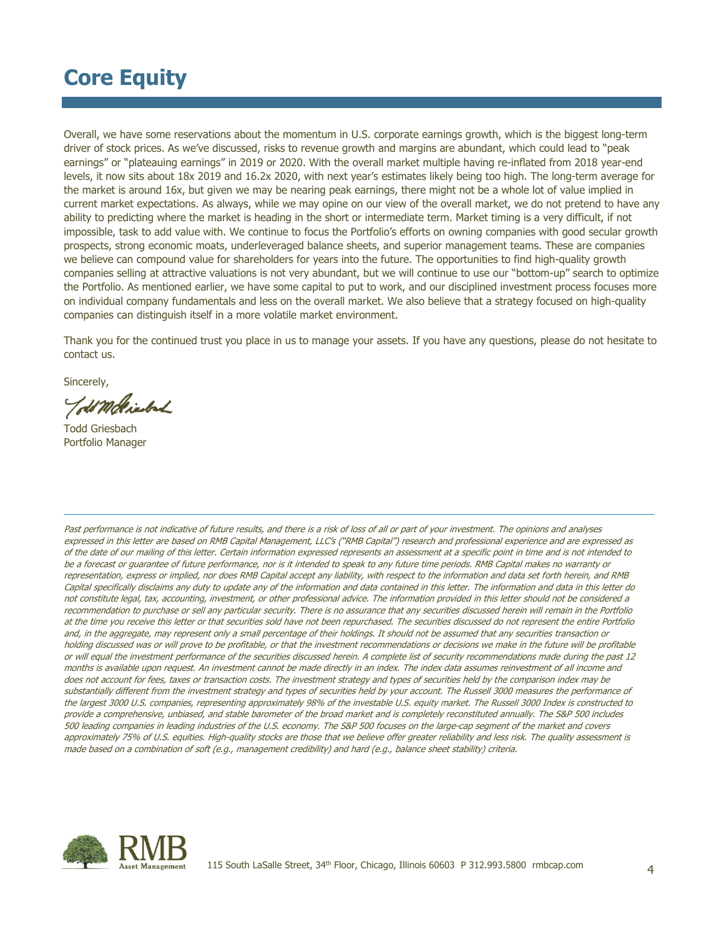# **Core Equity**

Overall, we have some reservations about the momentum in U.S. corporate earnings growth, which is the biggest long-term driver of stock prices. As we've discussed, risks to revenue growth and margins are abundant, which could lead to "peak earnings" or "plateauing earnings" in 2019 or 2020. With the overall market multiple having re-inflated from 2018 year-end levels, it now sits about 18x 2019 and 16.2x 2020, with next year's estimates likely being too high. The long-term average for the market is around 16x, but given we may be nearing peak earnings, there might not be a whole lot of value implied in current market expectations. As always, while we may opine on our view of the overall market, we do not pretend to have any ability to predicting where the market is heading in the short or intermediate term. Market timing is a very difficult, if not impossible, task to add value with. We continue to focus the Portfolio's efforts on owning companies with good secular growth prospects, strong economic moats, underleveraged balance sheets, and superior management teams. These are companies we believe can compound value for shareholders for years into the future. The opportunities to find high-quality growth companies selling at attractive valuations is not very abundant, but we will continue to use our "bottom-up" search to optimize the Portfolio. As mentioned earlier, we have some capital to put to work, and our disciplined investment process focuses more on individual company fundamentals and less on the overall market. We also believe that a strategy focused on high-quality companies can distinguish itself in a more volatile market environment.

Thank you for the continued trust you place in us to manage your assets. If you have any questions, please do not hesitate to contact us.

Sincerely,

old Mole inderd

Todd Griesbach Portfolio Manager

Past performance is not indicative of future results, and there is a risk of loss of all or part of your investment. The opinions and analyses expressed in this letter are based on RMB Capital Management, LLC's ("RMB Capital") research and professional experience and are expressed as of the date of our mailing of this letter. Certain information expressed represents an assessment at a specific point in time and is not intended to be a forecast or guarantee of future performance, nor is it intended to speak to any future time periods. RMB Capital makes no warranty or representation, express or implied, nor does RMB Capital accept any liability, with respect to the information and data set forth herein, and RMB Capital specifically disclaims any duty to update any of the information and data contained in this letter. The information and data in this letter do not constitute legal, tax, accounting, investment, or other professional advice. The information provided in this letter should not be considered a recommendation to purchase or sell any particular security. There is no assurance that any securities discussed herein will remain in the Portfolio at the time you receive this letter or that securities sold have not been repurchased. The securities discussed do not represent the entire Portfolio and, in the aggregate, may represent only a small percentage of their holdings. It should not be assumed that any securities transaction or holding discussed was or will prove to be profitable, or that the investment recommendations or decisions we make in the future will be profitable or will equal the investment performance of the securities discussed herein. A complete list of security recommendations made during the past 12 months is available upon request. An investment cannot be made directly in an index. The index data assumes reinvestment of all income and does not account for fees, taxes or transaction costs. The investment strategy and types of securities held by the comparison index may be substantially different from the investment strategy and types of securities held by your account. The Russell 3000 measures the performance of the largest 3000 U.S. companies, representing approximately 98% of the investable U.S. equity market. The Russell 3000 Index is constructed to provide a comprehensive, unbiased, and stable barometer of the broad market and is completely reconstituted annually. The S&P 500 includes 500 leading companies in leading industries of the U.S. economy. The S&P 500 focuses on the large-cap segment of the market and covers approximately 75% of U.S. equities. High-quality stocks are those that we believe offer greater reliability and less risk. The quality assessment is made based on a combination of soft (e.g., management credibility) and hard (e.g., balance sheet stability) criteria.